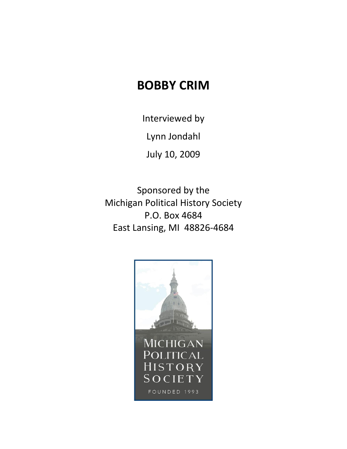## **BOBBY CRIM**

Interviewed by

Lynn Jondahl

July 10, 2009

Sponsored by the Michigan Political History Society P.O. Box 4684 East Lansing, MI 48826-4684

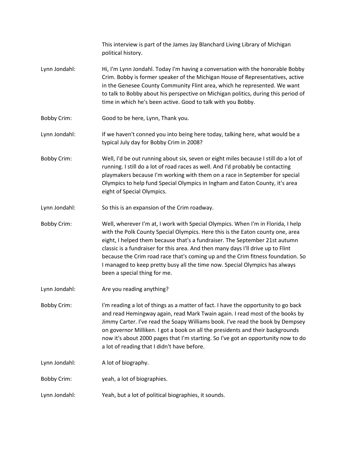|                    | This interview is part of the James Jay Blanchard Living Library of Michigan<br>political history.                                                                                                                                                                                                                                                                                                                                                                                                                                      |
|--------------------|-----------------------------------------------------------------------------------------------------------------------------------------------------------------------------------------------------------------------------------------------------------------------------------------------------------------------------------------------------------------------------------------------------------------------------------------------------------------------------------------------------------------------------------------|
| Lynn Jondahl:      | Hi, I'm Lynn Jondahl. Today I'm having a conversation with the honorable Bobby<br>Crim. Bobby is former speaker of the Michigan House of Representatives, active<br>in the Genesee County Community Flint area, which he represented. We want<br>to talk to Bobby about his perspective on Michigan politics, during this period of<br>time in which he's been active. Good to talk with you Bobby.                                                                                                                                     |
| <b>Bobby Crim:</b> | Good to be here, Lynn, Thank you.                                                                                                                                                                                                                                                                                                                                                                                                                                                                                                       |
| Lynn Jondahl:      | If we haven't conned you into being here today, talking here, what would be a<br>typical July day for Bobby Crim in 2008?                                                                                                                                                                                                                                                                                                                                                                                                               |
| <b>Bobby Crim:</b> | Well, I'd be out running about six, seven or eight miles because I still do a lot of<br>running. I still do a lot of road races as well. And I'd probably be contacting<br>playmakers because I'm working with them on a race in September for special<br>Olympics to help fund Special Olympics in Ingham and Eaton County, it's area<br>eight of Special Olympics.                                                                                                                                                                    |
| Lynn Jondahl:      | So this is an expansion of the Crim roadway.                                                                                                                                                                                                                                                                                                                                                                                                                                                                                            |
| <b>Bobby Crim:</b> | Well, wherever I'm at, I work with Special Olympics. When I'm in Florida, I help<br>with the Polk County Special Olympics. Here this is the Eaton county one, area<br>eight, I helped them because that's a fundraiser. The September 21st autumn<br>classic is a fundraiser for this area. And then many days I'll drive up to Flint<br>because the Crim road race that's coming up and the Crim fitness foundation. So<br>I managed to keep pretty busy all the time now. Special Olympics has always<br>been a special thing for me. |
| Lynn Jondahl:      | Are you reading anything?                                                                                                                                                                                                                                                                                                                                                                                                                                                                                                               |
| <b>Bobby Crim:</b> | I'm reading a lot of things as a matter of fact. I have the opportunity to go back<br>and read Hemingway again, read Mark Twain again. I read most of the books by<br>Jimmy Carter. I've read the Soapy Williams book. I've read the book by Dempsey<br>on governor Milliken. I got a book on all the presidents and their backgrounds<br>now it's about 2000 pages that I'm starting. So I've got an opportunity now to do<br>a lot of reading that I didn't have before.                                                              |
| Lynn Jondahl:      | A lot of biography.                                                                                                                                                                                                                                                                                                                                                                                                                                                                                                                     |
| <b>Bobby Crim:</b> | yeah, a lot of biographies.                                                                                                                                                                                                                                                                                                                                                                                                                                                                                                             |
| Lynn Jondahl:      | Yeah, but a lot of political biographies, it sounds.                                                                                                                                                                                                                                                                                                                                                                                                                                                                                    |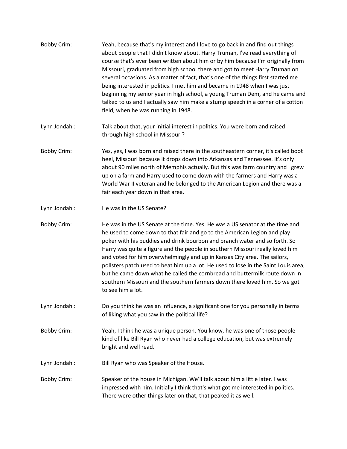| <b>Bobby Crim:</b> | Yeah, because that's my interest and I love to go back in and find out things<br>about people that I didn't know about. Harry Truman, I've read everything of<br>course that's ever been written about him or by him because I'm originally from<br>Missouri, graduated from high school there and got to meet Harry Truman on<br>several occasions. As a matter of fact, that's one of the things first started me<br>being interested in politics. I met him and became in 1948 when I was just<br>beginning my senior year in high school, a young Truman Dem, and he came and<br>talked to us and I actually saw him make a stump speech in a corner of a cotton<br>field, when he was running in 1948. |
|--------------------|-------------------------------------------------------------------------------------------------------------------------------------------------------------------------------------------------------------------------------------------------------------------------------------------------------------------------------------------------------------------------------------------------------------------------------------------------------------------------------------------------------------------------------------------------------------------------------------------------------------------------------------------------------------------------------------------------------------|
| Lynn Jondahl:      | Talk about that, your initial interest in politics. You were born and raised<br>through high school in Missouri?                                                                                                                                                                                                                                                                                                                                                                                                                                                                                                                                                                                            |
| <b>Bobby Crim:</b> | Yes, yes, I was born and raised there in the southeastern corner, it's called boot<br>heel, Missouri because it drops down into Arkansas and Tennessee. It's only<br>about 90 miles north of Memphis actually. But this was farm country and I grew<br>up on a farm and Harry used to come down with the farmers and Harry was a<br>World War II veteran and he belonged to the American Legion and there was a<br>fair each year down in that area.                                                                                                                                                                                                                                                        |
| Lynn Jondahl:      | He was in the US Senate?                                                                                                                                                                                                                                                                                                                                                                                                                                                                                                                                                                                                                                                                                    |
| <b>Bobby Crim:</b> | He was in the US Senate at the time. Yes. He was a US senator at the time and<br>he used to come down to that fair and go to the American Legion and play<br>poker with his buddies and drink bourbon and branch water and so forth. So<br>Harry was quite a figure and the people in southern Missouri really loved him<br>and voted for him overwhelmingly and up in Kansas City area. The sailors,<br>pollsters patch used to beat him up a lot. He used to lose in the Saint Louis area,<br>but he came down what he called the cornbread and buttermilk route down in<br>southern Missouri and the southern farmers down there loved him. So we got<br>to see him a lot.                               |
| Lynn Jondahl:      | Do you think he was an influence, a significant one for you personally in terms<br>of liking what you saw in the political life?                                                                                                                                                                                                                                                                                                                                                                                                                                                                                                                                                                            |
| <b>Bobby Crim:</b> | Yeah, I think he was a unique person. You know, he was one of those people<br>kind of like Bill Ryan who never had a college education, but was extremely<br>bright and well read.                                                                                                                                                                                                                                                                                                                                                                                                                                                                                                                          |
| Lynn Jondahl:      | Bill Ryan who was Speaker of the House.                                                                                                                                                                                                                                                                                                                                                                                                                                                                                                                                                                                                                                                                     |
| <b>Bobby Crim:</b> | Speaker of the house in Michigan. We'll talk about him a little later. I was<br>impressed with him. Initially I think that's what got me interested in politics.<br>There were other things later on that, that peaked it as well.                                                                                                                                                                                                                                                                                                                                                                                                                                                                          |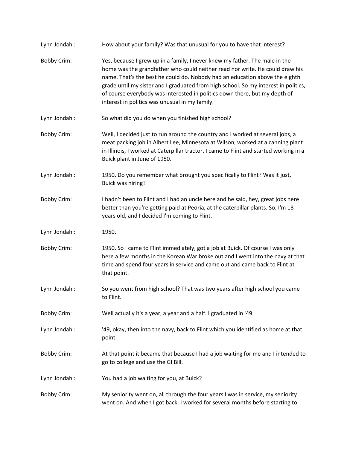| Lynn Jondahl:      | How about your family? Was that unusual for you to have that interest?                                                                                                                                                                                                                                                                                                                                                                                            |
|--------------------|-------------------------------------------------------------------------------------------------------------------------------------------------------------------------------------------------------------------------------------------------------------------------------------------------------------------------------------------------------------------------------------------------------------------------------------------------------------------|
| <b>Bobby Crim:</b> | Yes, because I grew up in a family, I never knew my father. The male in the<br>home was the grandfather who could neither read nor write. He could draw his<br>name. That's the best he could do. Nobody had an education above the eighth<br>grade until my sister and I graduated from high school. So my interest in politics,<br>of course everybody was interested in politics down there, but my depth of<br>interest in politics was unusual in my family. |
| Lynn Jondahl:      | So what did you do when you finished high school?                                                                                                                                                                                                                                                                                                                                                                                                                 |
| <b>Bobby Crim:</b> | Well, I decided just to run around the country and I worked at several jobs, a<br>meat packing job in Albert Lee, Minnesota at Wilson, worked at a canning plant<br>in Illinois, I worked at Caterpillar tractor. I came to Flint and started working in a<br>Buick plant in June of 1950.                                                                                                                                                                        |
| Lynn Jondahl:      | 1950. Do you remember what brought you specifically to Flint? Was it just,<br>Buick was hiring?                                                                                                                                                                                                                                                                                                                                                                   |
| <b>Bobby Crim:</b> | I hadn't been to Flint and I had an uncle here and he said, hey, great jobs here<br>better than you're getting paid at Peoria, at the caterpillar plants. So, I'm 18<br>years old, and I decided I'm coming to Flint.                                                                                                                                                                                                                                             |
| Lynn Jondahl:      | 1950.                                                                                                                                                                                                                                                                                                                                                                                                                                                             |
| <b>Bobby Crim:</b> | 1950. So I came to Flint immediately, got a job at Buick. Of course I was only<br>here a few months in the Korean War broke out and I went into the navy at that<br>time and spend four years in service and came out and came back to Flint at<br>that point.                                                                                                                                                                                                    |
| Lynn Jondahl:      | So you went from high school? That was two years after high school you came<br>to Flint.                                                                                                                                                                                                                                                                                                                                                                          |
| <b>Bobby Crim:</b> | Well actually it's a year, a year and a half. I graduated in '49.                                                                                                                                                                                                                                                                                                                                                                                                 |
| Lynn Jondahl:      | '49, okay, then into the navy, back to Flint which you identified as home at that<br>point.                                                                                                                                                                                                                                                                                                                                                                       |
| <b>Bobby Crim:</b> | At that point it became that because I had a job waiting for me and I intended to<br>go to college and use the GI Bill.                                                                                                                                                                                                                                                                                                                                           |
| Lynn Jondahl:      | You had a job waiting for you, at Buick?                                                                                                                                                                                                                                                                                                                                                                                                                          |
| <b>Bobby Crim:</b> | My seniority went on, all through the four years I was in service, my seniority<br>went on. And when I got back, I worked for several months before starting to                                                                                                                                                                                                                                                                                                   |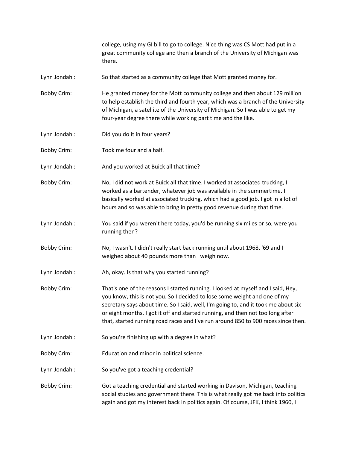college, using my GI bill to go to college. Nice thing was CS Mott had put in a great community college and then a branch of the University of Michigan was there.

Lynn Jondahl: So that started as a community college that Mott granted money for.

Bobby Crim: He granted money for the Mott community college and then about 129 million to help establish the third and fourth year, which was a branch of the University of Michigan, a satellite of the University of Michigan. So I was able to get my four-year degree there while working part time and the like.

- Lynn Jondahl: Did you do it in four years?
- Bobby Crim: Took me four and a half.

Lynn Jondahl: And you worked at Buick all that time?

Bobby Crim: No, I did not work at Buick all that time. I worked at associated trucking, I worked as a bartender, whatever job was available in the summertime. I basically worked at associated trucking, which had a good job. I got in a lot of hours and so was able to bring in pretty good revenue during that time.

Lynn Jondahl: You said if you weren't here today, you'd be running six miles or so, were you running then?

Bobby Crim: No, I wasn't. I didn't really start back running until about 1968, '69 and I weighed about 40 pounds more than I weigh now.

Lynn Jondahl: Ah, okay. Is that why you started running?

Bobby Crim: That's one of the reasons I started running. I looked at myself and I said, Hey, you know, this is not you. So I decided to lose some weight and one of my secretary says about time. So I said, well, I'm going to, and it took me about six or eight months. I got it off and started running, and then not too long after that, started running road races and I've run around 850 to 900 races since then.

- Lynn Jondahl: So you're finishing up with a degree in what?
- Bobby Crim: Education and minor in political science.

Lynn Jondahl: So you've got a teaching credential?

Bobby Crim: Got a teaching credential and started working in Davison, Michigan, teaching social studies and government there. This is what really got me back into politics again and got my interest back in politics again. Of course, JFK, I think 1960, I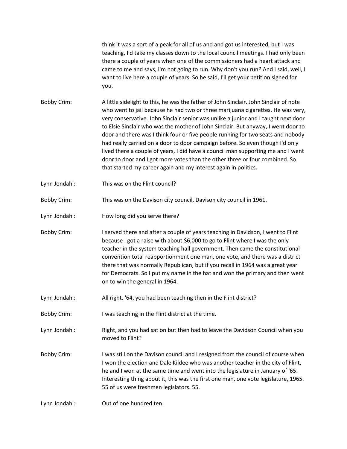think it was a sort of a peak for all of us and and got us interested, but I was teaching, I'd take my classes down to the local council meetings. I had only been there a couple of years when one of the commissioners had a heart attack and came to me and says, I'm not going to run. Why don't you run? And I said, well, I want to live here a couple of years. So he said, I'll get your petition signed for you.

- Bobby Crim: A little sidelight to this, he was the father of John Sinclair. John Sinclair of note who went to jail because he had two or three marijuana cigarettes. He was very, very conservative. John Sinclair senior was unlike a junior and I taught next door to Elsie Sinclair who was the mother of John Sinclair. But anyway, I went door to door and there was I think four or five people running for two seats and nobody had really carried on a door to door campaign before. So even though I'd only lived there a couple of years, I did have a council man supporting me and I went door to door and I got more votes than the other three or four combined. So that started my career again and my interest again in politics.
- Lynn Jondahl: This was on the Flint council?
- Bobby Crim: This was on the Davison city council, Davison city council in 1961.
- Lynn Jondahl: How long did you serve there?
- Bobby Crim: I served there and after a couple of years teaching in Davidson, I went to Flint because I got a raise with about \$6,000 to go to Flint where I was the only teacher in the system teaching hall government. Then came the constitutional convention total reapportionment one man, one vote, and there was a district there that was normally Republican, but if you recall in 1964 was a great year for Democrats. So I put my name in the hat and won the primary and then went on to win the general in 1964.
- Lynn Jondahl: All right. '64, you had been teaching then in the Flint district?
- Bobby Crim: I was teaching in the Flint district at the time.
- Lynn Jondahl: Right, and you had sat on but then had to leave the Davidson Council when you moved to Flint?
- Bobby Crim: I was still on the Davison council and I resigned from the council of course when I won the election and Dale Kildee who was another teacher in the city of Flint, he and I won at the same time and went into the legislature in January of '65. Interesting thing about it, this was the first one man, one vote legislature, 1965. 55 of us were freshmen legislators. 55.
- Lynn Jondahl: Out of one hundred ten.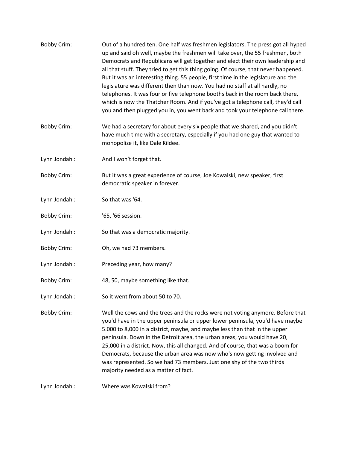| <b>Bobby Crim:</b> | Out of a hundred ten. One half was freshmen legislators. The press got all hyped<br>up and said oh well, maybe the freshmen will take over, the 55 freshmen, both<br>Democrats and Republicans will get together and elect their own leadership and<br>all that stuff. They tried to get this thing going. Of course, that never happened.<br>But it was an interesting thing. 55 people, first time in the legislature and the<br>legislature was different then than now. You had no staff at all hardly, no<br>telephones. It was four or five telephone booths back in the room back there,<br>which is now the Thatcher Room. And if you've got a telephone call, they'd call<br>you and then plugged you in, you went back and took your telephone call there. |
|--------------------|----------------------------------------------------------------------------------------------------------------------------------------------------------------------------------------------------------------------------------------------------------------------------------------------------------------------------------------------------------------------------------------------------------------------------------------------------------------------------------------------------------------------------------------------------------------------------------------------------------------------------------------------------------------------------------------------------------------------------------------------------------------------|
| <b>Bobby Crim:</b> | We had a secretary for about every six people that we shared, and you didn't<br>have much time with a secretary, especially if you had one guy that wanted to<br>monopolize it, like Dale Kildee.                                                                                                                                                                                                                                                                                                                                                                                                                                                                                                                                                                    |
| Lynn Jondahl:      | And I won't forget that.                                                                                                                                                                                                                                                                                                                                                                                                                                                                                                                                                                                                                                                                                                                                             |
| <b>Bobby Crim:</b> | But it was a great experience of course, Joe Kowalski, new speaker, first<br>democratic speaker in forever.                                                                                                                                                                                                                                                                                                                                                                                                                                                                                                                                                                                                                                                          |
| Lynn Jondahl:      | So that was '64.                                                                                                                                                                                                                                                                                                                                                                                                                                                                                                                                                                                                                                                                                                                                                     |
| <b>Bobby Crim:</b> | '65, '66 session.                                                                                                                                                                                                                                                                                                                                                                                                                                                                                                                                                                                                                                                                                                                                                    |
| Lynn Jondahl:      | So that was a democratic majority.                                                                                                                                                                                                                                                                                                                                                                                                                                                                                                                                                                                                                                                                                                                                   |
| <b>Bobby Crim:</b> | Oh, we had 73 members.                                                                                                                                                                                                                                                                                                                                                                                                                                                                                                                                                                                                                                                                                                                                               |
| Lynn Jondahl:      | Preceding year, how many?                                                                                                                                                                                                                                                                                                                                                                                                                                                                                                                                                                                                                                                                                                                                            |
| <b>Bobby Crim:</b> | 48, 50, maybe something like that.                                                                                                                                                                                                                                                                                                                                                                                                                                                                                                                                                                                                                                                                                                                                   |
| Lynn Jondahl:      | So it went from about 50 to 70.                                                                                                                                                                                                                                                                                                                                                                                                                                                                                                                                                                                                                                                                                                                                      |
| <b>Bobby Crim:</b> | Well the cows and the trees and the rocks were not voting anymore. Before that<br>you'd have in the upper peninsula or upper lower peninsula, you'd have maybe<br>5.000 to 8,000 in a district, maybe, and maybe less than that in the upper<br>peninsula. Down in the Detroit area, the urban areas, you would have 20,<br>25,000 in a district. Now, this all changed. And of course, that was a boom for<br>Democrats, because the urban area was now who's now getting involved and<br>was represented. So we had 73 members. Just one shy of the two thirds<br>majority needed as a matter of fact.                                                                                                                                                             |
| Lynn Jondahl:      | Where was Kowalski from?                                                                                                                                                                                                                                                                                                                                                                                                                                                                                                                                                                                                                                                                                                                                             |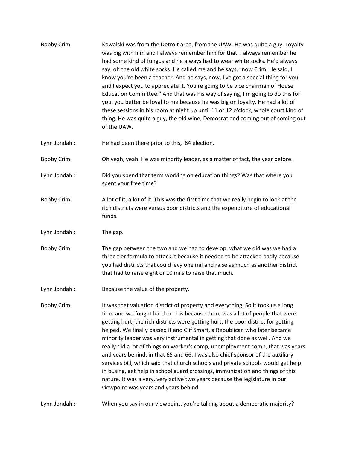- Bobby Crim: Kowalski was from the Detroit area, from the UAW. He was quite a guy. Loyalty was big with him and I always remember him for that. I always remember he had some kind of fungus and he always had to wear white socks. He'd always say, oh the old white socks. He called me and he says, "now Crim, He said, I know you're been a teacher. And he says, now, I've got a special thing for you and I expect you to appreciate it. You're going to be vice chairman of House Education Committee." And that was his way of saying, I'm going to do this for you, you better be loyal to me because he was big on loyalty. He had a lot of these sessions in his room at night up until 11 or 12 o'clock, whole court kind of thing. He was quite a guy, the old wine, Democrat and coming out of coming out of the UAW.
- Lynn Jondahl: He had been there prior to this, '64 election.

Bobby Crim: Oh yeah, yeah. He was minority leader, as a matter of fact, the year before.

- Lynn Jondahl: Did you spend that term working on education things? Was that where you spent your free time?
- Bobby Crim: A lot of it, a lot of it. This was the first time that we really begin to look at the rich districts were versus poor districts and the expenditure of educational funds.
- Lynn Jondahl: The gap.
- Bobby Crim: The gap between the two and we had to develop, what we did was we had a three tier formula to attack it because it needed to be attacked badly because you had districts that could levy one mil and raise as much as another district that had to raise eight or 10 mils to raise that much.
- Lynn Jondahl: Because the value of the property.
- Bobby Crim: It was that valuation district of property and everything. So it took us a long time and we fought hard on this because there was a lot of people that were getting hurt, the rich districts were getting hurt, the poor district for getting helped. We finally passed it and Clif Smart, a Republican who later became minority leader was very instrumental in getting that done as well. And we really did a lot of things on worker's comp, unemployment comp, that was years and years behind, in that 65 and 66. I was also chief sponsor of the auxiliary services bill, which said that church schools and private schools would get help in busing, get help in school guard crossings, immunization and things of this nature. It was a very, very active two years because the legislature in our viewpoint was years and years behind.

Lynn Jondahl: When you say in our viewpoint, you're talking about a democratic majority?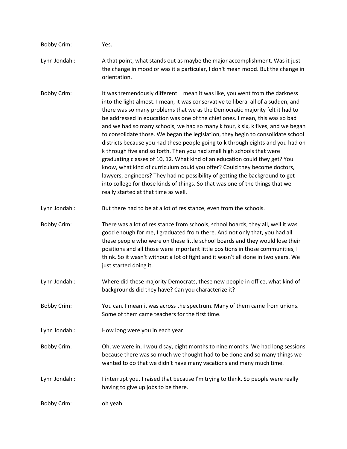| <b>Bobby Crim:</b> | Yes.                                                                                                                                                                                                                                                                                                                                                                                                                                                                                                                                                                                                                                                                                                                                                                                                                                                                                                                                                                                                                                         |
|--------------------|----------------------------------------------------------------------------------------------------------------------------------------------------------------------------------------------------------------------------------------------------------------------------------------------------------------------------------------------------------------------------------------------------------------------------------------------------------------------------------------------------------------------------------------------------------------------------------------------------------------------------------------------------------------------------------------------------------------------------------------------------------------------------------------------------------------------------------------------------------------------------------------------------------------------------------------------------------------------------------------------------------------------------------------------|
| Lynn Jondahl:      | A that point, what stands out as maybe the major accomplishment. Was it just<br>the change in mood or was it a particular, I don't mean mood. But the change in<br>orientation.                                                                                                                                                                                                                                                                                                                                                                                                                                                                                                                                                                                                                                                                                                                                                                                                                                                              |
| <b>Bobby Crim:</b> | It was tremendously different. I mean it was like, you went from the darkness<br>into the light almost. I mean, it was conservative to liberal all of a sudden, and<br>there was so many problems that we as the Democratic majority felt it had to<br>be addressed in education was one of the chief ones. I mean, this was so bad<br>and we had so many schools, we had so many k four, k six, k fives, and we began<br>to consolidate those. We began the legislation, they begin to consolidate school<br>districts because you had these people going to k through eights and you had on<br>k through five and so forth. Then you had small high schools that were<br>graduating classes of 10, 12. What kind of an education could they get? You<br>know, what kind of curriculum could you offer? Could they become doctors,<br>lawyers, engineers? They had no possibility of getting the background to get<br>into college for those kinds of things. So that was one of the things that we<br>really started at that time as well. |
| Lynn Jondahl:      | But there had to be at a lot of resistance, even from the schools.                                                                                                                                                                                                                                                                                                                                                                                                                                                                                                                                                                                                                                                                                                                                                                                                                                                                                                                                                                           |
| <b>Bobby Crim:</b> | There was a lot of resistance from schools, school boards, they all, well it was<br>good enough for me, I graduated from there. And not only that, you had all<br>these people who were on these little school boards and they would lose their<br>positions and all those were important little positions in those communities, I<br>think. So it wasn't without a lot of fight and it wasn't all done in two years. We<br>just started doing it.                                                                                                                                                                                                                                                                                                                                                                                                                                                                                                                                                                                           |
| Lynn Jondahl:      | Where did these majority Democrats, these new people in office, what kind of<br>backgrounds did they have? Can you characterize it?                                                                                                                                                                                                                                                                                                                                                                                                                                                                                                                                                                                                                                                                                                                                                                                                                                                                                                          |
| <b>Bobby Crim:</b> | You can. I mean it was across the spectrum. Many of them came from unions.<br>Some of them came teachers for the first time.                                                                                                                                                                                                                                                                                                                                                                                                                                                                                                                                                                                                                                                                                                                                                                                                                                                                                                                 |
| Lynn Jondahl:      | How long were you in each year.                                                                                                                                                                                                                                                                                                                                                                                                                                                                                                                                                                                                                                                                                                                                                                                                                                                                                                                                                                                                              |
| <b>Bobby Crim:</b> | Oh, we were in, I would say, eight months to nine months. We had long sessions<br>because there was so much we thought had to be done and so many things we<br>wanted to do that we didn't have many vacations and many much time.                                                                                                                                                                                                                                                                                                                                                                                                                                                                                                                                                                                                                                                                                                                                                                                                           |
| Lynn Jondahl:      | I interrupt you. I raised that because I'm trying to think. So people were really<br>having to give up jobs to be there.                                                                                                                                                                                                                                                                                                                                                                                                                                                                                                                                                                                                                                                                                                                                                                                                                                                                                                                     |
| <b>Bobby Crim:</b> | oh yeah.                                                                                                                                                                                                                                                                                                                                                                                                                                                                                                                                                                                                                                                                                                                                                                                                                                                                                                                                                                                                                                     |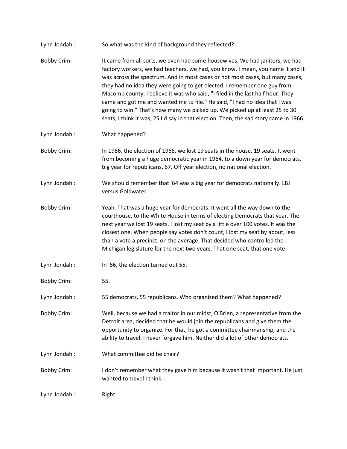| Lynn Jondahl:      | So what was the kind of background they reflected?                                                                                                                                                                                                                                                                                                                                                                                                                                                                                                                                                                                                                  |
|--------------------|---------------------------------------------------------------------------------------------------------------------------------------------------------------------------------------------------------------------------------------------------------------------------------------------------------------------------------------------------------------------------------------------------------------------------------------------------------------------------------------------------------------------------------------------------------------------------------------------------------------------------------------------------------------------|
| <b>Bobby Crim:</b> | It came from all sorts, we even had some housewives. We had janitors, we had<br>factory workers, we had teachers, we had, you know, I mean, you name it and it<br>was across the spectrum. And in most cases or not most cases, but many cases,<br>they had no idea they were going to get elected. I remember one guy from<br>Macomb county, I believe it was who said, "I filed in the last half hour. They<br>came and got me and wanted me to file." He said, "I had no idea that I was<br>going to win." That's how many we picked up. We picked up at least 25 to 30<br>seats, I think it was, 25 I'd say in that election. Then, the sad story came in 1966. |
| Lynn Jondahl:      | What happened?                                                                                                                                                                                                                                                                                                                                                                                                                                                                                                                                                                                                                                                      |
| <b>Bobby Crim:</b> | In 1966, the election of 1966, we lost 19 seats in the house, 19 seats. It went<br>from becoming a huge democratic year in 1964, to a down year for democrats,<br>big year for republicans, 67. Off year election, no national election.                                                                                                                                                                                                                                                                                                                                                                                                                            |
| Lynn Jondahl:      | We should remember that '64 was a big year for democrats nationally. LBJ<br>versus Goldwater.                                                                                                                                                                                                                                                                                                                                                                                                                                                                                                                                                                       |
| <b>Bobby Crim:</b> | Yeah. That was a huge year for democrats. It went all the way down to the<br>courthouse, to the White House in terms of electing Democrats that year. The<br>next year we lost 19 seats. I lost my seat by a little over 100 votes. It was the<br>closest one. When people say votes don't count, I lost my seat by about, less<br>than a vote a precinct, on the average. That decided who controlled the<br>Michigan legislature for the next two years. That one seat, that one vote.                                                                                                                                                                            |
| Lynn Jondahl:      | In '66, the election turned out 55.                                                                                                                                                                                                                                                                                                                                                                                                                                                                                                                                                                                                                                 |
| <b>Bobby Crim:</b> | 55.                                                                                                                                                                                                                                                                                                                                                                                                                                                                                                                                                                                                                                                                 |
| Lynn Jondahl:      | 55 democrats, 55 republicans. Who organized them? What happened?                                                                                                                                                                                                                                                                                                                                                                                                                                                                                                                                                                                                    |
| <b>Bobby Crim:</b> | Well, because we had a traitor in our midst, O'Brien, a representative from the<br>Detroit area, decided that he would join the republicans and give them the<br>opportunity to organize. For that, he got a committee chairmanship, and the<br>ability to travel. I never forgave him. Neither did a lot of other democrats.                                                                                                                                                                                                                                                                                                                                       |
| Lynn Jondahl:      | What committee did he chair?                                                                                                                                                                                                                                                                                                                                                                                                                                                                                                                                                                                                                                        |
| <b>Bobby Crim:</b> | I don't remember what they gave him because it wasn't that important. He just<br>wanted to travel I think.                                                                                                                                                                                                                                                                                                                                                                                                                                                                                                                                                          |
| Lynn Jondahl:      | Right.                                                                                                                                                                                                                                                                                                                                                                                                                                                                                                                                                                                                                                                              |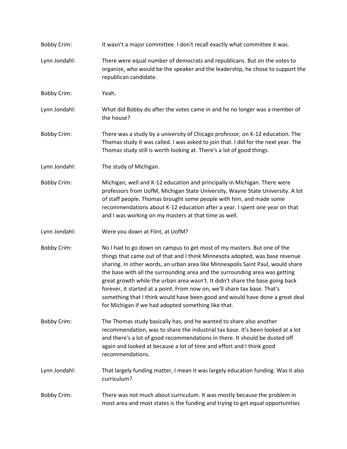Bobby Crim: It wasn't a major committee. I don't recall exactly what committee it was. Lynn Jondahl: There were equal number of democrats and republicans. But on the votes to organize, who would be the speaker and the leadership, he chose to support the republican candidate. Bobby Crim: Yeah. Lynn Jondahl: What did Bobby do after the votes came in and he no longer was a member of the house? Bobby Crim: There was a study by a university of Chicago professor, on K-12 education. The Thomas study it was called. I was asked to join that. I did for the next year. The Thomas study still is worth looking at. There's a lot of good things. Lynn Jondahl: The study of Michigan. Bobby Crim: Michigan, well and K-12 education and principally in Michigan. There were professors from UofM, Michigan State University, Wayne State University. A lot of staff people. Thomas brought some people with him, and made some recommendations about K-12 education after a year. I spent one year on that and I was working on my masters at that time as well. Lynn Jondahl: Were you down at Flint, at UofM? Bobby Crim: No I had to go down on campus to get most of my masters. But one of the things that came out of that and I think Minnesota adopted, was base revenue sharing. In other words, an urban area like Minneapolis Saint Paul, would share the base with all the surrounding area and the surrounding area was getting great growth while the urban area wasn't. It didn't share the base going back forever, it started at a point. From now on, we'll share tax base. That's something that I think would have been good and would have done a great deal for Michigan if we had adopted something like that. Bobby Crim: The Thomas study basically has, and he wanted to share also another recommendation, was to share the industrial tax base. It's been looked at a lot and there's a lot of good recommendations in there. It should be dusted off again and looked at because a lot of time and effort and I think good recommendations. Lynn Jondahl: That largely funding matter, I mean it was largely education funding. Was it also curriculum? Bobby Crim: There was not much about curriculum. It was mostly because the problem in most area and most states is the funding and trying to get equal opportunities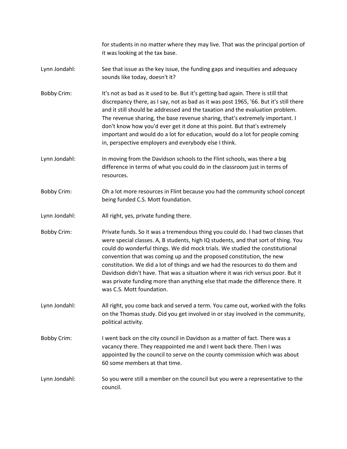for students in no matter where they may live. That was the principal portion of it was looking at the tax base.

- Lynn Jondahl: See that issue as the key issue, the funding gaps and inequities and adequacy sounds like today, doesn't it?
- Bobby Crim: It's not as bad as it used to be. But it's getting bad again. There is still that discrepancy there, as I say, not as bad as it was post 1965, '66. But it's still there and it still should be addressed and the taxation and the evaluation problem. The revenue sharing, the base revenue sharing, that's extremely important. I don't know how you'd ever get it done at this point. But that's extremely important and would do a lot for education, would do a lot for people coming in, perspective employers and everybody else I think.
- Lynn Jondahl: In moving from the Davidson schools to the Flint schools, was there a big difference in terms of what you could do in the classroom just in terms of resources.
- Bobby Crim: Oh a lot more resources in Flint because you had the community school concept being funded C.S. Mott foundation.
- Lynn Jondahl: All right, yes, private funding there.

Bobby Crim: Private funds. So it was a tremendous thing you could do. I had two classes that were special classes. A, B students, high IQ students, and that sort of thing. You could do wonderful things. We did mock trials. We studied the constitutional convention that was coming up and the proposed constitution, the new constitution. We did a lot of things and we had the resources to do them and Davidson didn't have. That was a situation where it was rich versus poor. But it was private funding more than anything else that made the difference there. It was C.S. Mott foundation.

- Lynn Jondahl: All right, you come back and served a term. You came out, worked with the folks on the Thomas study. Did you get involved in or stay involved in the community, political activity.
- Bobby Crim: I went back on the city council in Davidson as a matter of fact. There was a vacancy there. They reappointed me and I went back there. Then I was appointed by the council to serve on the county commission which was about 60 some members at that time.
- Lynn Jondahl: So you were still a member on the council but you were a representative to the council.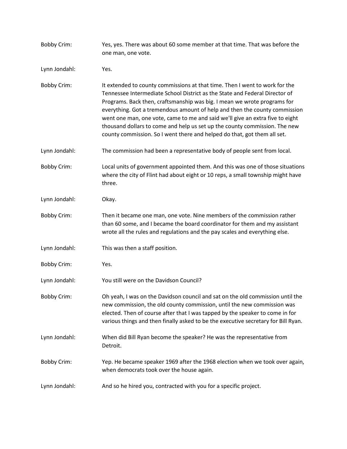| <b>Bobby Crim:</b> | Yes, yes. There was about 60 some member at that time. That was before the<br>one man, one vote.                                                                                                                                                                                                                                                                                                                                                                                                                                                                |
|--------------------|-----------------------------------------------------------------------------------------------------------------------------------------------------------------------------------------------------------------------------------------------------------------------------------------------------------------------------------------------------------------------------------------------------------------------------------------------------------------------------------------------------------------------------------------------------------------|
| Lynn Jondahl:      | Yes.                                                                                                                                                                                                                                                                                                                                                                                                                                                                                                                                                            |
| <b>Bobby Crim:</b> | It extended to county commissions at that time. Then I went to work for the<br>Tennessee Intermediate School District as the State and Federal Director of<br>Programs. Back then, craftsmanship was big. I mean we wrote programs for<br>everything. Got a tremendous amount of help and then the county commission<br>went one man, one vote, came to me and said we'll give an extra five to eight<br>thousand dollars to come and help us set up the county commission. The new<br>county commission. So I went there and helped do that, got them all set. |
| Lynn Jondahl:      | The commission had been a representative body of people sent from local.                                                                                                                                                                                                                                                                                                                                                                                                                                                                                        |
| <b>Bobby Crim:</b> | Local units of government appointed them. And this was one of those situations<br>where the city of Flint had about eight or 10 reps, a small township might have<br>three.                                                                                                                                                                                                                                                                                                                                                                                     |
| Lynn Jondahl:      | Okay.                                                                                                                                                                                                                                                                                                                                                                                                                                                                                                                                                           |
| <b>Bobby Crim:</b> | Then it became one man, one vote. Nine members of the commission rather<br>than 60 some, and I became the board coordinator for them and my assistant<br>wrote all the rules and regulations and the pay scales and everything else.                                                                                                                                                                                                                                                                                                                            |
| Lynn Jondahl:      | This was then a staff position.                                                                                                                                                                                                                                                                                                                                                                                                                                                                                                                                 |
| <b>Bobby Crim:</b> | Yes.                                                                                                                                                                                                                                                                                                                                                                                                                                                                                                                                                            |
| Lynn Jondahl:      | You still were on the Davidson Council?                                                                                                                                                                                                                                                                                                                                                                                                                                                                                                                         |
| <b>Bobby Crim:</b> | Oh yeah, I was on the Davidson council and sat on the old commission until the<br>new commission, the old county commission, until the new commission was<br>elected. Then of course after that I was tapped by the speaker to come in for<br>various things and then finally asked to be the executive secretary for Bill Ryan.                                                                                                                                                                                                                                |
| Lynn Jondahl:      | When did Bill Ryan become the speaker? He was the representative from<br>Detroit.                                                                                                                                                                                                                                                                                                                                                                                                                                                                               |
| <b>Bobby Crim:</b> | Yep. He became speaker 1969 after the 1968 election when we took over again,<br>when democrats took over the house again.                                                                                                                                                                                                                                                                                                                                                                                                                                       |
| Lynn Jondahl:      | And so he hired you, contracted with you for a specific project.                                                                                                                                                                                                                                                                                                                                                                                                                                                                                                |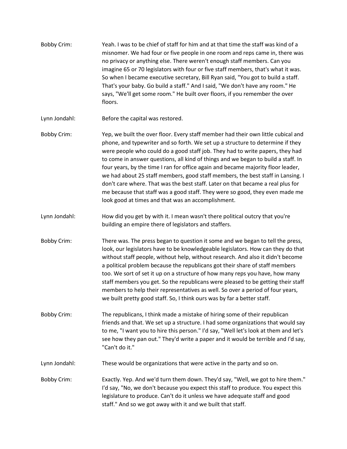- Bobby Crim: Yeah. I was to be chief of staff for him and at that time the staff was kind of a misnomer. We had four or five people in one room and reps came in, there was no privacy or anything else. There weren't enough staff members. Can you imagine 65 or 70 legislators with four or five staff members, that's what it was. So when I became executive secretary, Bill Ryan said, "You got to build a staff. That's your baby. Go build a staff." And I said, "We don't have any room." He says, "We'll get some room." He built over floors, if you remember the over floors.
- Lynn Jondahl: Before the capital was restored.
- Bobby Crim: Yep, we built the over floor. Every staff member had their own little cubical and phone, and typewriter and so forth. We set up a structure to determine if they were people who could do a good staff job. They had to write papers, they had to come in answer questions, all kind of things and we began to build a staff. In four years, by the time I ran for office again and became majority floor leader, we had about 25 staff members, good staff members, the best staff in Lansing. I don't care where. That was the best staff. Later on that became a real plus for me because that staff was a good staff. They were so good, they even made me look good at times and that was an accomplishment.
- Lynn Jondahl: How did you get by with it. I mean wasn't there political outcry that you're building an empire there of legislators and staffers.
- Bobby Crim: There was. The press began to question it some and we began to tell the press, look, our legislators have to be knowledgeable legislators. How can they do that without staff people, without help, without research. And also it didn't become a political problem because the republicans got their share of staff members too. We sort of set it up on a structure of how many reps you have, how many staff members you get. So the republicans were pleased to be getting their staff members to help their representatives as well. So over a period of four years, we built pretty good staff. So, I think ours was by far a better staff.
- Bobby Crim: The republicans, I think made a mistake of hiring some of their republican friends and that. We set up a structure. I had some organizations that would say to me, "I want you to hire this person." I'd say, "Well let's look at them and let's see how they pan out." They'd write a paper and it would be terrible and I'd say, "Can't do it."
- Lynn Jondahl: These would be organizations that were active in the party and so on.
- Bobby Crim: Exactly. Yep. And we'd turn them down. They'd say, "Well, we got to hire them." I'd say, "No, we don't because you expect this staff to produce. You expect this legislature to produce. Can't do it unless we have adequate staff and good staff." And so we got away with it and we built that staff.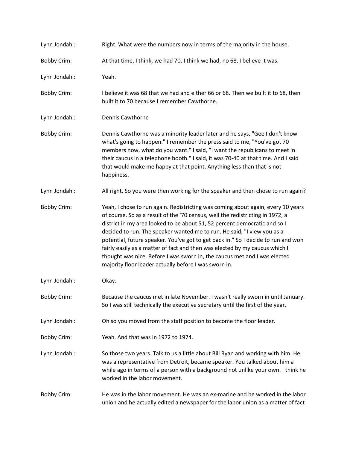| Lynn Jondahl:      | Right. What were the numbers now in terms of the majority in the house.                                                                                                                                                                                                                                                                                                                                                                                                                                                                                                                                                              |
|--------------------|--------------------------------------------------------------------------------------------------------------------------------------------------------------------------------------------------------------------------------------------------------------------------------------------------------------------------------------------------------------------------------------------------------------------------------------------------------------------------------------------------------------------------------------------------------------------------------------------------------------------------------------|
| <b>Bobby Crim:</b> | At that time, I think, we had 70. I think we had, no 68, I believe it was.                                                                                                                                                                                                                                                                                                                                                                                                                                                                                                                                                           |
| Lynn Jondahl:      | Yeah.                                                                                                                                                                                                                                                                                                                                                                                                                                                                                                                                                                                                                                |
| <b>Bobby Crim:</b> | I believe it was 68 that we had and either 66 or 68. Then we built it to 68, then<br>built it to 70 because I remember Cawthorne.                                                                                                                                                                                                                                                                                                                                                                                                                                                                                                    |
| Lynn Jondahl:      | <b>Dennis Cawthorne</b>                                                                                                                                                                                                                                                                                                                                                                                                                                                                                                                                                                                                              |
| <b>Bobby Crim:</b> | Dennis Cawthorne was a minority leader later and he says, "Gee I don't know<br>what's going to happen." I remember the press said to me, "You've got 70<br>members now, what do you want." I said, "I want the republicans to meet in<br>their caucus in a telephone booth." I said, it was 70-40 at that time. And I said<br>that would make me happy at that point. Anything less than that is not<br>happiness.                                                                                                                                                                                                                   |
| Lynn Jondahl:      | All right. So you were then working for the speaker and then chose to run again?                                                                                                                                                                                                                                                                                                                                                                                                                                                                                                                                                     |
| <b>Bobby Crim:</b> | Yeah, I chose to run again. Redistricting was coming about again, every 10 years<br>of course. So as a result of the '70 census, well the redistricting in 1972, a<br>district in my area looked to be about 51, 52 percent democratic and so I<br>decided to run. The speaker wanted me to run. He said, "I view you as a<br>potential, future speaker. You've got to get back in." So I decide to run and won<br>fairly easily as a matter of fact and then was elected by my caucus which I<br>thought was nice. Before I was sworn in, the caucus met and I was elected<br>majority floor leader actually before I was sworn in. |
| Lynn Jondahl:      | Okay.                                                                                                                                                                                                                                                                                                                                                                                                                                                                                                                                                                                                                                |
| <b>Bobby Crim:</b> | Because the caucus met in late November. I wasn't really sworn in until January.<br>So I was still technically the executive secretary until the first of the year.                                                                                                                                                                                                                                                                                                                                                                                                                                                                  |
| Lynn Jondahl:      | Oh so you moved from the staff position to become the floor leader.                                                                                                                                                                                                                                                                                                                                                                                                                                                                                                                                                                  |
| <b>Bobby Crim:</b> | Yeah. And that was in 1972 to 1974.                                                                                                                                                                                                                                                                                                                                                                                                                                                                                                                                                                                                  |
| Lynn Jondahl:      | So those two years. Talk to us a little about Bill Ryan and working with him. He<br>was a representative from Detroit, became speaker. You talked about him a<br>while ago in terms of a person with a background not unlike your own. I think he<br>worked in the labor movement.                                                                                                                                                                                                                                                                                                                                                   |
| <b>Bobby Crim:</b> | He was in the labor movement. He was an ex-marine and he worked in the labor<br>union and he actually edited a newspaper for the labor union as a matter of fact                                                                                                                                                                                                                                                                                                                                                                                                                                                                     |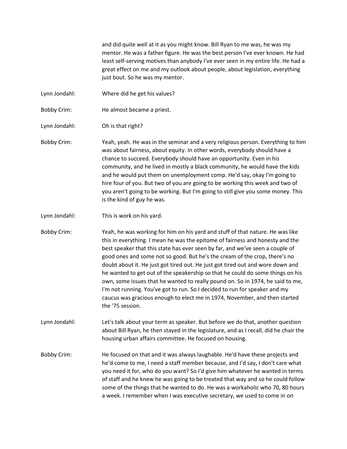and did quite well at it as you might know. Bill Ryan to me was, he was my mentor. He was a father figure. He was the best person I've ever known. He had least self-serving motives than anybody I've ever seen in my entire life. He had a great effect on me and my outlook about people, about legislation, everything just bout. So he was my mentor.

- Lynn Jondahl: Where did he get his values?
- Bobby Crim: He almost became a priest.

Lynn Jondahl: Oh is that right?

- Bobby Crim: Yeah, yeah. He was in the seminar and a very religious person. Everything to him was about fairness, about equity. In other words, everybody should have a chance to succeed. Everybody should have an opportunity. Even in his community, and he lived in mostly a black community, he would have the kids and he would put them on unemployment comp. He'd say, okay I'm going to hire four of you. But two of you are going to be working this week and two of you aren't going to be working. But I'm going to still give you some money. This is the kind of guy he was.
- Lynn Jondahl: This is work on his yard.

Bobby Crim: Yeah, he was working for him on his yard and stuff of that nature. He was like this in everything. I mean he was the epitome of fairness and honesty and the best speaker that this state has ever seen by far, and we've seen a couple of good ones and some not so good. But he's the cream of the crop, there's no doubt about it. He just got tired out. He just got tired out and wore down and he wanted to get out of the speakership so that he could do some things on his own, some issues that he wanted to really pound on. So in 1974, he said to me, I'm not running. You've got to run. So I decided to run for speaker and my caucus was gracious enough to elect me in 1974, November, and then started the '75 session.

- Lynn Jondahl: Let's talk about your term as speaker. But before we do that, another question about Bill Ryan, he then stayed in the legislature, and as I recall, did he chair the housing urban affairs committee. He focused on housing.
- Bobby Crim: He focused on that and it was always laughable. He'd have these projects and he'd come to me, I need a staff member because, and I'd say, I don't care what you need it for, who do you want? So I'd give him whatever he wanted in terms of staff and he knew he was going to be treated that way and so he could follow some of the things that he wanted to do. He was a workaholic who 70, 80 hours a week. I remember when I was executive secretary, we used to come in on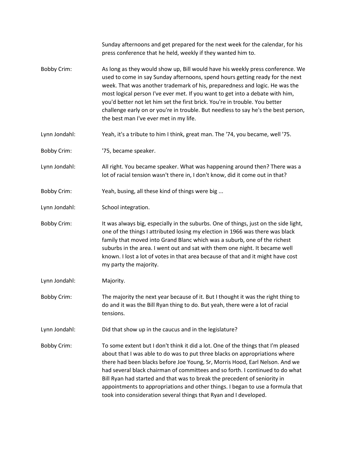Sunday afternoons and get prepared for the next week for the calendar, for his press conference that he held, weekly if they wanted him to. Bobby Crim: As long as they would show up, Bill would have his weekly press conference. We used to come in say Sunday afternoons, spend hours getting ready for the next week. That was another trademark of his, preparedness and logic. He was the most logical person I've ever met. If you want to get into a debate with him, you'd better not let him set the first brick. You're in trouble. You better challenge early on or you're in trouble. But needless to say he's the best person, the best man I've ever met in my life. Lynn Jondahl: Yeah, it's a tribute to him I think, great man. The '74, you became, well '75. Bobby Crim: '75, became speaker. Lynn Jondahl: All right. You became speaker. What was happening around then? There was a lot of racial tension wasn't there in, I don't know, did it come out in that? Bobby Crim: Yeah, busing, all these kind of things were big ... Lynn Jondahl: School integration. Bobby Crim: It was always big, especially in the suburbs. One of things, just on the side light, one of the things I attributed losing my election in 1966 was there was black family that moved into Grand Blanc which was a suburb, one of the richest suburbs in the area. I went out and sat with them one night. It became well known. I lost a lot of votes in that area because of that and it might have cost my party the majority. Lynn Jondahl: Majority. Bobby Crim: The majority the next year because of it. But I thought it was the right thing to do and it was the Bill Ryan thing to do. But yeah, there were a lot of racial tensions. Lynn Jondahl: Did that show up in the caucus and in the legislature? Bobby Crim: To some extent but I don't think it did a lot. One of the things that I'm pleased about that I was able to do was to put three blacks on appropriations where there had been blacks before Joe Young, Sr, Morris Hood, Earl Nelson. And we had several black chairman of committees and so forth. I continued to do what Bill Ryan had started and that was to break the precedent of seniority in appointments to appropriations and other things. I began to use a formula that took into consideration several things that Ryan and I developed.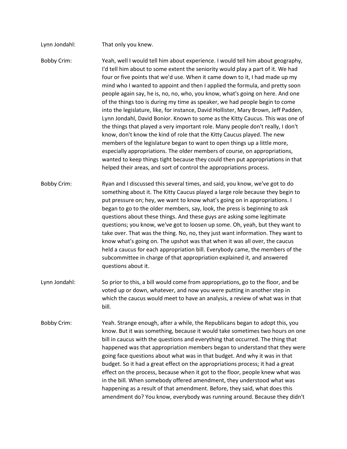| Lynn Jondahl:      | That only you knew.                                                                                                                                                                                                                                                                                                                                                                                                                                                                                                                                                                                                                                                                                                                                                                                                                                                                                                                                                                                                                                                                                                                                           |
|--------------------|---------------------------------------------------------------------------------------------------------------------------------------------------------------------------------------------------------------------------------------------------------------------------------------------------------------------------------------------------------------------------------------------------------------------------------------------------------------------------------------------------------------------------------------------------------------------------------------------------------------------------------------------------------------------------------------------------------------------------------------------------------------------------------------------------------------------------------------------------------------------------------------------------------------------------------------------------------------------------------------------------------------------------------------------------------------------------------------------------------------------------------------------------------------|
| <b>Bobby Crim:</b> | Yeah, well I would tell him about experience. I would tell him about geography,<br>I'd tell him about to some extent the seniority would play a part of it. We had<br>four or five points that we'd use. When it came down to it, I had made up my<br>mind who I wanted to appoint and then I applied the formula, and pretty soon<br>people again say, he is, no, no, who, you know, what's going on here. And one<br>of the things too is during my time as speaker, we had people begin to come<br>into the legislature, like, for instance, David Hollister, Mary Brown, Jeff Padden,<br>Lynn Jondahl, David Bonior. Known to some as the Kitty Caucus. This was one of<br>the things that played a very important role. Many people don't really, I don't<br>know, don't know the kind of role that the Kitty Caucus played. The new<br>members of the legislature began to want to open things up a little more,<br>especially appropriations. The older members of course, on appropriations,<br>wanted to keep things tight because they could then put appropriations in that<br>helped their areas, and sort of control the appropriations process. |
| <b>Bobby Crim:</b> | Ryan and I discussed this several times, and said, you know, we've got to do<br>something about it. The Kitty Caucus played a large role because they begin to<br>put pressure on; hey, we want to know what's going on in appropriations. I<br>began to go to the older members, say, look, the press is beginning to ask<br>questions about these things. And these guys are asking some legitimate<br>questions; you know, we've got to loosen up some. Oh, yeah, but they want to<br>take over. That was the thing. No, no, they just want information. They want to<br>know what's going on. The upshot was that when it was all over, the caucus<br>held a caucus for each appropriation bill. Everybody came, the members of the<br>subcommittee in charge of that appropriation explained it, and answered<br>questions about it.                                                                                                                                                                                                                                                                                                                     |
| Lynn Jondahl:      | So prior to this, a bill would come from appropriations, go to the floor, and be<br>voted up or down, whatever, and now you were putting in another step in<br>which the caucus would meet to have an analysis, a review of what was in that<br>bill.                                                                                                                                                                                                                                                                                                                                                                                                                                                                                                                                                                                                                                                                                                                                                                                                                                                                                                         |
| <b>Bobby Crim:</b> | Yeah. Strange enough, after a while, the Republicans began to adopt this, you<br>know. But it was something, because it would take sometimes two hours on one<br>bill in caucus with the questions and everything that occurred. The thing that<br>happened was that appropriation members began to understand that they were<br>going face questions about what was in that budget. And why it was in that<br>budget. So it had a great effect on the appropriations process; it had a great<br>effect on the process, because when it got to the floor, people knew what was<br>in the bill. When somebody offered amendment, they understood what was<br>happening as a result of that amendment. Before, they said, what does this<br>amendment do? You know, everybody was running around. Because they didn't                                                                                                                                                                                                                                                                                                                                           |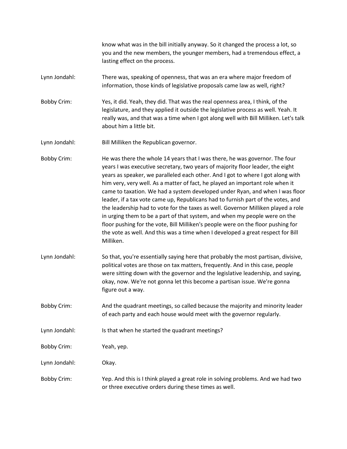know what was in the bill initially anyway. So it changed the process a lot, so you and the new members, the younger members, had a tremendous effect, a lasting effect on the process.

- Lynn Jondahl: There was, speaking of openness, that was an era where major freedom of information, those kinds of legislative proposals came law as well, right?
- Bobby Crim: Yes, it did. Yeah, they did. That was the real openness area, I think, of the legislature, and they applied it outside the legislative process as well. Yeah. It really was, and that was a time when I got along well with Bill Milliken. Let's talk about him a little bit.
- Lynn Jondahl: Bill Milliken the Republican governor.

Bobby Crim: He was there the whole 14 years that I was there, he was governor. The four years I was executive secretary, two years of majority floor leader, the eight years as speaker, we paralleled each other. And I got to where I got along with him very, very well. As a matter of fact, he played an important role when it came to taxation. We had a system developed under Ryan, and when I was floor leader, if a tax vote came up, Republicans had to furnish part of the votes, and the leadership had to vote for the taxes as well. Governor Milliken played a role in urging them to be a part of that system, and when my people were on the floor pushing for the vote, Bill Milliken's people were on the floor pushing for the vote as well. And this was a time when I developed a great respect for Bill Milliken.

- Lynn Jondahl: So that, you're essentially saying here that probably the most partisan, divisive, political votes are those on tax matters, frequently. And in this case, people were sitting down with the governor and the legislative leadership, and saying, okay, now. We're not gonna let this become a partisan issue. We're gonna figure out a way.
- Bobby Crim: And the quadrant meetings, so called because the majority and minority leader of each party and each house would meet with the governor regularly.
- Lynn Jondahl: Is that when he started the quadrant meetings?
- Bobby Crim: Yeah, yep.
- Lynn Jondahl: Okay.
- Bobby Crim: Yep. And this is I think played a great role in solving problems. And we had two or three executive orders during these times as well.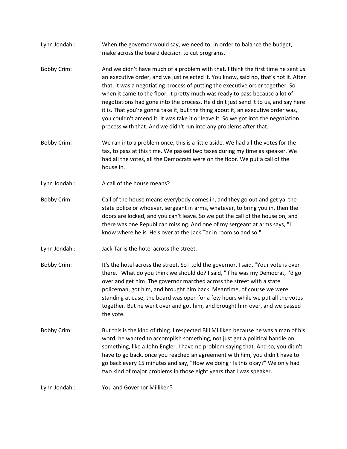- Lynn Jondahl: When the governor would say, we need to, in order to balance the budget, make across the board decision to cut programs.
- Bobby Crim: And we didn't have much of a problem with that. I think the first time he sent us an executive order, and we just rejected it. You know, said no, that's not it. After that, it was a negotiating process of putting the executive order together. So when it came to the floor, it pretty much was ready to pass because a lot of negotiations had gone into the process. He didn't just send it to us, and say here it is. That you're gonna take it, but the thing about it, an executive order was, you couldn't amend it. It was take it or leave it. So we got into the negotiation process with that. And we didn't run into any problems after that.
- Bobby Crim: We ran into a problem once, this is a little aside. We had all the votes for the tax, to pass at this time. We passed two taxes during my time as speaker. We had all the votes, all the Democrats were on the floor. We put a call of the house in.
- Lynn Jondahl: A call of the house means?
- Bobby Crim: Call of the house means everybody comes in, and they go out and get ya, the state police or whoever, sergeant in arms, whatever, to bring you in, then the doors are locked, and you can't leave. So we put the call of the house on, and there was one Republican missing. And one of my sergeant at arms says, "I know where he is. He's over at the Jack Tar in room so and so."
- Lynn Jondahl: Jack Tar is the hotel across the street.
- Bobby Crim: It's the hotel across the street. So I told the governor, I said, "Your vote is over there." What do you think we should do? I said, "if he was my Democrat, I'd go over and get him. The governor marched across the street with a state policeman, got him, and brought him back. Meantime, of course we were standing at ease, the board was open for a few hours while we put all the votes together. But he went over and got him, and brought him over, and we passed the vote.
- Bobby Crim: But this is the kind of thing. I respected Bill Milliken because he was a man of his word, he wanted to accomplish something, not just get a political handle on something, like a John Engler. I have no problem saying that. And so, you didn't have to go back, once you reached an agreement with him, you didn't have to go back every 15 minutes and say, "How we doing? Is this okay?" We only had two kind of major problems in those eight years that I was speaker.

Lynn Jondahl: You and Governor Milliken?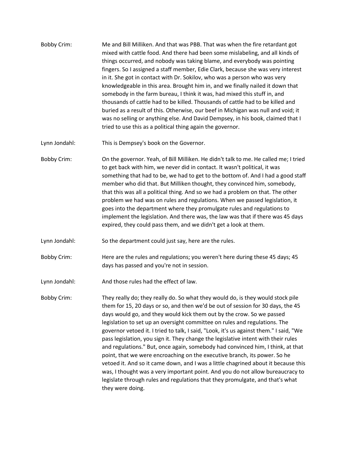- Bobby Crim: Me and Bill Milliken. And that was PBB. That was when the fire retardant got mixed with cattle food. And there had been some mislabeling, and all kinds of things occurred, and nobody was taking blame, and everybody was pointing fingers. So I assigned a staff member, Edie Clark, because she was very interest in it. She got in contact with Dr. Sokilov, who was a person who was very knowledgeable in this area. Brought him in, and we finally nailed it down that somebody in the farm bureau, I think it was, had mixed this stuff in, and thousands of cattle had to be killed. Thousands of cattle had to be killed and buried as a result of this. Otherwise, our beef in Michigan was null and void; it was no selling or anything else. And David Dempsey, in his book, claimed that I tried to use this as a political thing again the governor.
- Lynn Jondahl: This is Dempsey's book on the Governor.
- Bobby Crim: On the governor. Yeah, of Bill Milliken. He didn't talk to me. He called me; I tried to get back with him, we never did in contact. It wasn't political, it was something that had to be, we had to get to the bottom of. And I had a good staff member who did that. But Milliken thought, they convinced him, somebody, that this was all a political thing. And so we had a problem on that. The other problem we had was on rules and regulations. When we passed legislation, it goes into the department where they promulgate rules and regulations to implement the legislation. And there was, the law was that if there was 45 days expired, they could pass them, and we didn't get a look at them.
- Lynn Jondahl: So the department could just say, here are the rules.
- Bobby Crim: Here are the rules and regulations; you weren't here during these 45 days; 45 days has passed and you're not in session.
- Lynn Jondahl: And those rules had the effect of law.

Bobby Crim: They really do; they really do. So what they would do, is they would stock pile them for 15, 20 days or so, and then we'd be out of session for 30 days, the 45 days would go, and they would kick them out by the crow. So we passed legislation to set up an oversight committee on rules and regulations. The governor vetoed it. I tried to talk, I said, "Look, it's us against them." I said, "We pass legislation, you sign it. They change the legislative intent with their rules and regulations." But, once again, somebody had convinced him, I think, at that point, that we were encroaching on the executive branch, its power. So he vetoed it. And so it came down, and I was a little chagrined about it because this was, I thought was a very important point. And you do not allow bureaucracy to legislate through rules and regulations that they promulgate, and that's what they were doing.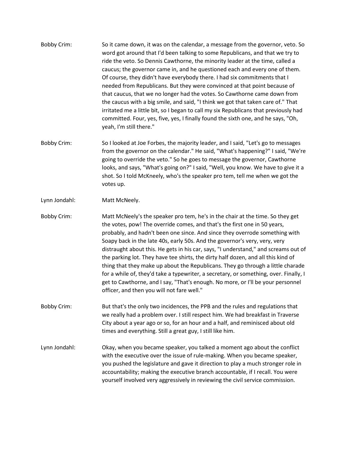- Bobby Crim: So it came down, it was on the calendar, a message from the governor, veto. So word got around that I'd been talking to some Republicans, and that we try to ride the veto. So Dennis Cawthorne, the minority leader at the time, called a caucus; the governor came in, and he questioned each and every one of them. Of course, they didn't have everybody there. I had six commitments that I needed from Republicans. But they were convinced at that point because of that caucus, that we no longer had the votes. So Cawthorne came down from the caucus with a big smile, and said, "I think we got that taken care of." That irritated me a little bit, so I began to call my six Republicans that previously had committed. Four, yes, five, yes, I finally found the sixth one, and he says, "Oh, yeah, I'm still there."
- Bobby Crim: So I looked at Joe Forbes, the majority leader, and I said, "Let's go to messages from the governor on the calendar." He said, "What's happening?" I said, "We're going to override the veto." So he goes to message the governor, Cawthorne looks, and says, "What's going on?" I said, "Well, you know. We have to give it a shot. So I told McKneely, who's the speaker pro tem, tell me when we got the votes up.
- Lynn Jondahl: Matt McNeely.
- Bobby Crim: Matt McNeely's the speaker pro tem, he's in the chair at the time. So they get the votes, pow! The override comes, and that's the first one in 50 years, probably, and hadn't been one since. And since they overrode something with Soapy back in the late 40s, early 50s. And the governor's very, very, very distraught about this. He gets in his car, says, "I understand," and screams out of the parking lot. They have tee shirts, the dirty half dozen, and all this kind of thing that they make up about the Republicans. They go through a little charade for a while of, they'd take a typewriter, a secretary, or something, over. Finally, I get to Cawthorne, and I say, "That's enough. No more, or I'll be your personnel officer, and then you will not fare well."
- Bobby Crim: But that's the only two incidences, the PPB and the rules and regulations that we really had a problem over. I still respect him. We had breakfast in Traverse City about a year ago or so, for an hour and a half, and reminisced about old times and everything. Still a great guy, I still like him.
- Lynn Jondahl: Okay, when you became speaker, you talked a moment ago about the conflict with the executive over the issue of rule-making. When you became speaker, you pushed the legislature and gave it direction to play a much stronger role in accountability; making the executive branch accountable, if I recall. You were yourself involved very aggressively in reviewing the civil service commission.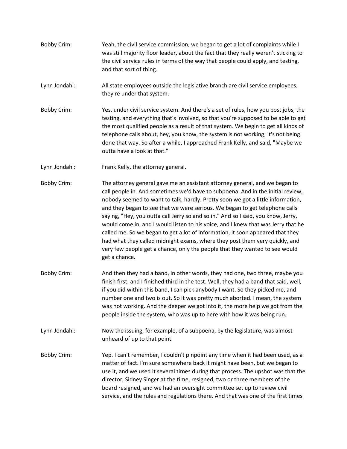- Bobby Crim: Yeah, the civil service commission, we began to get a lot of complaints while I was still majority floor leader, about the fact that they really weren't sticking to the civil service rules in terms of the way that people could apply, and testing, and that sort of thing.
- Lynn Jondahl: All state employees outside the legislative branch are civil service employees; they're under that system.
- Bobby Crim: Yes, under civil service system. And there's a set of rules, how you post jobs, the testing, and everything that's involved, so that you're supposed to be able to get the most qualified people as a result of that system. We begin to get all kinds of telephone calls about, hey, you know, the system is not working; it's not being done that way. So after a while, I approached Frank Kelly, and said, "Maybe we outta have a look at that."
- Lynn Jondahl: Frank Kelly, the attorney general.
- Bobby Crim: The attorney general gave me an assistant attorney general, and we began to call people in. And sometimes we'd have to subpoena. And in the initial review, nobody seemed to want to talk, hardly. Pretty soon we got a little information, and they began to see that we were serious. We began to get telephone calls saying, "Hey, you outta call Jerry so and so in." And so I said, you know, Jerry, would come in, and I would listen to his voice, and I knew that was Jerry that he called me. So we began to get a lot of information, it soon appeared that they had what they called midnight exams, where they post them very quickly, and very few people get a chance, only the people that they wanted to see would get a chance.
- Bobby Crim: And then they had a band, in other words, they had one, two three, maybe you finish first, and I finished third in the test. Well, they had a band that said, well, if you did within this band, I can pick anybody I want. So they picked me, and number one and two is out. So it was pretty much aborted. I mean, the system was not working. And the deeper we got into it, the more help we got from the people inside the system, who was up to here with how it was being run.
- Lynn Jondahl: Now the issuing, for example, of a subpoena, by the legislature, was almost unheard of up to that point.
- Bobby Crim: Yep. I can't remember, I couldn't pinpoint any time when it had been used, as a matter of fact. I'm sure somewhere back it might have been, but we began to use it, and we used it several times during that process. The upshot was that the director, Sidney Singer at the time, resigned, two or three members of the board resigned, and we had an oversight committee set up to review civil service, and the rules and regulations there. And that was one of the first times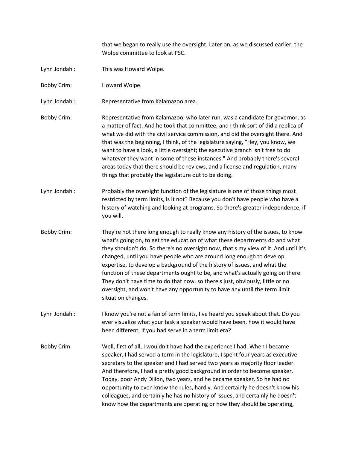that we began to really use the oversight. Later on, as we discussed earlier, the Wolpe committee to look at PSC.

- Lynn Jondahl: This was Howard Wolpe.
- Bobby Crim: Howard Wolpe.

Lynn Jondahl: Representative from Kalamazoo area.

- Bobby Crim: Representative from Kalamazoo, who later run, was a candidate for governor, as a matter of fact. And he took that committee, and I think sort of did a replica of what we did with the civil service commission, and did the oversight there. And that was the beginning, I think, of the legislature saying, "Hey, you know, we want to have a look, a little oversight; the executive branch isn't free to do whatever they want in some of these instances." And probably there's several areas today that there should be reviews, and a license and regulation, many things that probably the legislature out to be doing.
- Lynn Jondahl: Probably the oversight function of the legislature is one of those things most restricted by term limits, is it not? Because you don't have people who have a history of watching and looking at programs. So there's greater independence, if you will.
- Bobby Crim: They're not there long enough to really know any history of the issues, to know what's going on, to get the education of what these departments do and what they shouldn't do. So there's no oversight now, that's my view of it. And until it's changed, until you have people who are around long enough to develop expertise, to develop a background of the history of issues, and what the function of these departments ought to be, and what's actually going on there. They don't have time to do that now, so there's just, obviously, little or no oversight, and won't have any opportunity to have any until the term limit situation changes.
- Lynn Jondahl: I know you're not a fan of term limits, I've heard you speak about that. Do you ever visualize what your task a speaker would have been, how it would have been different, if you had serve in a term limit era?
- Bobby Crim: Well, first of all, I wouldn't have had the experience I had. When I became speaker, I had served a term in the legislature, I spent four years as executive secretary to the speaker and I had served two years as majority floor leader. And therefore, I had a pretty good background in order to become speaker. Today, poor Andy Dillon, two years, and he became speaker. So he had no opportunity to even know the rules, hardly. And certainly he doesn't know his colleagues, and certainly he has no history of issues, and certainly he doesn't know how the departments are operating or how they should be operating,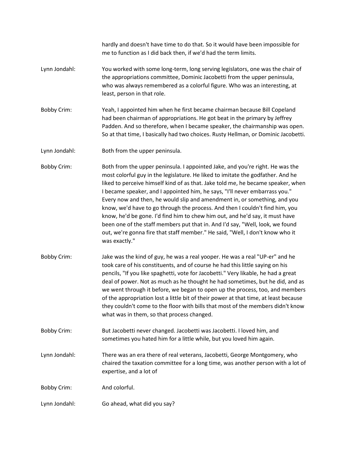hardly and doesn't have time to do that. So it would have been impossible for me to function as I did back then, if we'd had the term limits.

- Lynn Jondahl: You worked with some long-term, long serving legislators, one was the chair of the appropriations committee, Dominic Jacobetti from the upper peninsula, who was always remembered as a colorful figure. Who was an interesting, at least, person in that role.
- Bobby Crim: Yeah, I appointed him when he first became chairman because Bill Copeland had been chairman of appropriations. He got beat in the primary by Jeffrey Padden. And so therefore, when I became speaker, the chairmanship was open. So at that time, I basically had two choices. Rusty Hellman, or Dominic Jacobetti.
- Lynn Jondahl: Both from the upper peninsula.
- Bobby Crim: Both from the upper peninsula. I appointed Jake, and you're right. He was the most colorful guy in the legislature. He liked to imitate the godfather. And he liked to perceive himself kind of as that. Jake told me, he became speaker, when I became speaker, and I appointed him, he says, "I'll never embarrass you." Every now and then, he would slip and amendment in, or something, and you know, we'd have to go through the process. And then I couldn't find him, you know, he'd be gone. I'd find him to chew him out, and he'd say, it must have been one of the staff members put that in. And I'd say, "Well, look, we found out, we're gonna fire that staff member." He said, "Well, I don't know who it was exactly."
- Bobby Crim: Jake was the kind of guy, he was a real yooper. He was a real "UP-er" and he took care of his constituents, and of course he had this little saying on his pencils, "If you like spaghetti, vote for Jacobetti." Very likable, he had a great deal of power. Not as much as he thought he had sometimes, but he did, and as we went through it before, we began to open up the process, too, and members of the appropriation lost a little bit of their power at that time, at least because they couldn't come to the floor with bills that most of the members didn't know what was in them, so that process changed.
- Bobby Crim: But Jacobetti never changed. Jacobetti was Jacobetti. I loved him, and sometimes you hated him for a little while, but you loved him again.
- Lynn Jondahl: There was an era there of real veterans, Jacobetti, George Montgomery, who chaired the taxation committee for a long time, was another person with a lot of expertise, and a lot of

Bobby Crim: And colorful.

Lynn Jondahl: Go ahead, what did you say?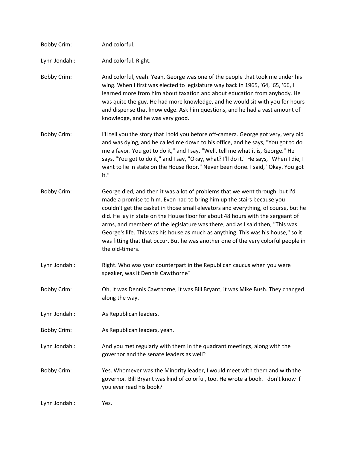| <b>Bobby Crim:</b> | And colorful.                                                                                                                                                                                                                                                                                                                                                                                                                                                                                                                                                                                                  |
|--------------------|----------------------------------------------------------------------------------------------------------------------------------------------------------------------------------------------------------------------------------------------------------------------------------------------------------------------------------------------------------------------------------------------------------------------------------------------------------------------------------------------------------------------------------------------------------------------------------------------------------------|
| Lynn Jondahl:      | And colorful. Right.                                                                                                                                                                                                                                                                                                                                                                                                                                                                                                                                                                                           |
| <b>Bobby Crim:</b> | And colorful, yeah. Yeah, George was one of the people that took me under his<br>wing. When I first was elected to legislature way back in 1965, '64, '65, '66, I<br>learned more from him about taxation and about education from anybody. He<br>was quite the guy. He had more knowledge, and he would sit with you for hours<br>and dispense that knowledge. Ask him questions, and he had a vast amount of<br>knowledge, and he was very good.                                                                                                                                                             |
| <b>Bobby Crim:</b> | I'll tell you the story that I told you before off-camera. George got very, very old<br>and was dying, and he called me down to his office, and he says, "You got to do<br>me a favor. You got to do it," and I say, "Well, tell me what it is, George." He<br>says, "You got to do it," and I say, "Okay, what? I'll do it." He says, "When I die, I<br>want to lie in state on the House floor." Never been done. I said, "Okay. You got<br>it."                                                                                                                                                             |
| <b>Bobby Crim:</b> | George died, and then it was a lot of problems that we went through, but I'd<br>made a promise to him. Even had to bring him up the stairs because you<br>couldn't get the casket in those small elevators and everything, of course, but he<br>did. He lay in state on the House floor for about 48 hours with the sergeant of<br>arms, and members of the legislature was there, and as I said then, "This was<br>George's life. This was his house as much as anything. This was his house," so it<br>was fitting that that occur. But he was another one of the very colorful people in<br>the old-timers. |
| Lynn Jondahl:      | Right. Who was your counterpart in the Republican caucus when you were<br>speaker, was it Dennis Cawthorne?                                                                                                                                                                                                                                                                                                                                                                                                                                                                                                    |
| <b>Bobby Crim:</b> | Oh, it was Dennis Cawthorne, it was Bill Bryant, it was Mike Bush. They changed<br>along the way.                                                                                                                                                                                                                                                                                                                                                                                                                                                                                                              |
| Lynn Jondahl:      | As Republican leaders.                                                                                                                                                                                                                                                                                                                                                                                                                                                                                                                                                                                         |
| <b>Bobby Crim:</b> | As Republican leaders, yeah.                                                                                                                                                                                                                                                                                                                                                                                                                                                                                                                                                                                   |
| Lynn Jondahl:      | And you met regularly with them in the quadrant meetings, along with the<br>governor and the senate leaders as well?                                                                                                                                                                                                                                                                                                                                                                                                                                                                                           |
| <b>Bobby Crim:</b> | Yes. Whomever was the Minority leader, I would meet with them and with the<br>governor. Bill Bryant was kind of colorful, too. He wrote a book. I don't know if<br>you ever read his book?                                                                                                                                                                                                                                                                                                                                                                                                                     |
| Lynn Jondahl:      | Yes.                                                                                                                                                                                                                                                                                                                                                                                                                                                                                                                                                                                                           |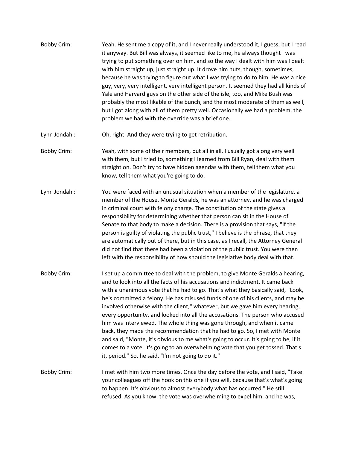- Bobby Crim: Yeah. He sent me a copy of it, and I never really understood it, I guess, but I read it anyway. But Bill was always, it seemed like to me, he always thought I was trying to put something over on him, and so the way I dealt with him was I dealt with him straight up, just straight up. It drove him nuts, though, sometimes, because he was trying to figure out what I was trying to do to him. He was a nice guy, very, very intelligent, very intelligent person. It seemed they had all kinds of Yale and Harvard guys on the other side of the isle, too, and Mike Bush was probably the most likable of the bunch, and the most moderate of them as well, but I got along with all of them pretty well. Occasionally we had a problem, the problem we had with the override was a brief one.
- Lynn Jondahl: Oh, right. And they were trying to get retribution.
- Bobby Crim: Yeah, with some of their members, but all in all, I usually got along very well with them, but I tried to, something I learned from Bill Ryan, deal with them straight on. Don't try to have hidden agendas with them, tell them what you know, tell them what you're going to do.
- Lynn Jondahl: You were faced with an unusual situation when a member of the legislature, a member of the House, Monte Geralds, he was an attorney, and he was charged in criminal court with felony charge. The constitution of the state gives a responsibility for determining whether that person can sit in the House of Senate to that body to make a decision. There is a provision that says, "If the person is guilty of violating the public trust," I believe is the phrase, that they are automatically out of there, but in this case, as I recall, the Attorney General did not find that there had been a violation of the public trust. You were then left with the responsibility of how should the legislative body deal with that.
- Bobby Crim: I set up a committee to deal with the problem, to give Monte Geralds a hearing, and to look into all the facts of his accusations and indictment. It came back with a unanimous vote that he had to go. That's what they basically said, "Look, he's committed a felony. He has misused funds of one of his clients, and may be involved otherwise with the client," whatever, but we gave him every hearing, every opportunity, and looked into all the accusations. The person who accused him was interviewed. The whole thing was gone through, and when it came back, they made the recommendation that he had to go. So, I met with Monte and said, "Monte, it's obvious to me what's going to occur. It's going to be, if it comes to a vote, it's going to an overwhelming vote that you get tossed. That's it, period." So, he said, "I'm not going to do it."
- Bobby Crim: I met with him two more times. Once the day before the vote, and I said, "Take your colleagues off the hook on this one if you will, because that's what's going to happen. It's obvious to almost everybody what has occurred." He still refused. As you know, the vote was overwhelming to expel him, and he was,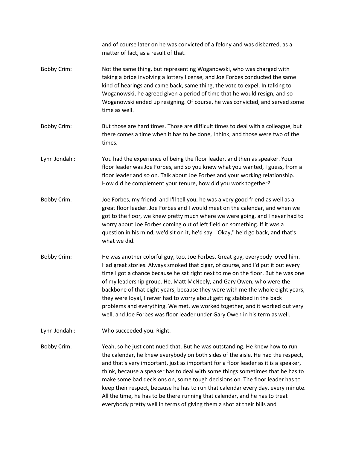and of course later on he was convicted of a felony and was disbarred, as a matter of fact, as a result of that.

- Bobby Crim: Not the same thing, but representing Woganowski, who was charged with taking a bribe involving a lottery license, and Joe Forbes conducted the same kind of hearings and came back, same thing, the vote to expel. In talking to Woganowski, he agreed given a period of time that he would resign, and so Woganowski ended up resigning. Of course, he was convicted, and served some time as well.
- Bobby Crim: But those are hard times. Those are difficult times to deal with a colleague, but there comes a time when it has to be done, I think, and those were two of the times.
- Lynn Jondahl: You had the experience of being the floor leader, and then as speaker. Your floor leader was Joe Forbes, and so you knew what you wanted, I guess, from a floor leader and so on. Talk about Joe Forbes and your working relationship. How did he complement your tenure, how did you work together?
- Bobby Crim: Joe Forbes, my friend, and I'll tell you, he was a very good friend as well as a great floor leader. Joe Forbes and I would meet on the calendar, and when we got to the floor, we knew pretty much where we were going, and I never had to worry about Joe Forbes coming out of left field on something. If it was a question in his mind, we'd sit on it, he'd say, "Okay," he'd go back, and that's what we did.
- Bobby Crim: He was another colorful guy, too, Joe Forbes. Great guy, everybody loved him. Had great stories. Always smoked that cigar, of course, and I'd put it out every time I got a chance because he sat right next to me on the floor. But he was one of my leadership group. He, Matt McNeely, and Gary Owen, who were the backbone of that eight years, because they were with me the whole eight years, they were loyal, I never had to worry about getting stabbed in the back problems and everything. We met, we worked together, and it worked out very well, and Joe Forbes was floor leader under Gary Owen in his term as well.
- Lynn Jondahl: Who succeeded you. Right.

Bobby Crim: Yeah, so he just continued that. But he was outstanding. He knew how to run the calendar, he knew everybody on both sides of the aisle. He had the respect, and that's very important, just as important for a floor leader as it is a speaker, I think, because a speaker has to deal with some things sometimes that he has to make some bad decisions on, some tough decisions on. The floor leader has to keep their respect, because he has to run that calendar every day, every minute. All the time, he has to be there running that calendar, and he has to treat everybody pretty well in terms of giving them a shot at their bills and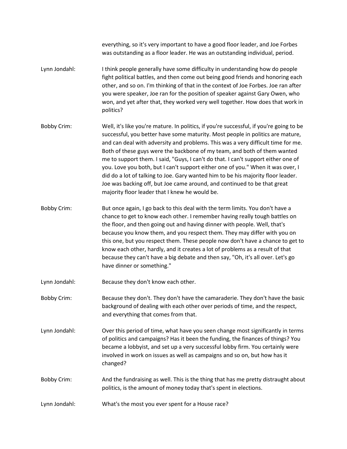everything, so it's very important to have a good floor leader, and Joe Forbes was outstanding as a floor leader. He was an outstanding individual, period.

- Lynn Jondahl: I think people generally have some difficulty in understanding how do people fight political battles, and then come out being good friends and honoring each other, and so on. I'm thinking of that in the context of Joe Forbes. Joe ran after you were speaker, Joe ran for the position of speaker against Gary Owen, who won, and yet after that, they worked very well together. How does that work in politics?
- Bobby Crim: Well, it's like you're mature. In politics, if you're successful, if you're going to be successful, you better have some maturity. Most people in politics are mature, and can deal with adversity and problems. This was a very difficult time for me. Both of these guys were the backbone of my team, and both of them wanted me to support them. I said, "Guys, I can't do that. I can't support either one of you. Love you both, but I can't support either one of you." When it was over, I did do a lot of talking to Joe. Gary wanted him to be his majority floor leader. Joe was backing off, but Joe came around, and continued to be that great majority floor leader that I knew he would be.
- Bobby Crim: But once again, I go back to this deal with the term limits. You don't have a chance to get to know each other. I remember having really tough battles on the floor, and then going out and having dinner with people. Well, that's because you know them, and you respect them. They may differ with you on this one, but you respect them. These people now don't have a chance to get to know each other, hardly, and it creates a lot of problems as a result of that because they can't have a big debate and then say, "Oh, it's all over. Let's go have dinner or something."
- Lynn Jondahl: Because they don't know each other.
- Bobby Crim: Because they don't. They don't have the camaraderie. They don't have the basic background of dealing with each other over periods of time, and the respect, and everything that comes from that.
- Lynn Jondahl: Over this period of time, what have you seen change most significantly in terms of politics and campaigns? Has it been the funding, the finances of things? You became a lobbyist, and set up a very successful lobby firm. You certainly were involved in work on issues as well as campaigns and so on, but how has it changed?
- Bobby Crim: And the fundraising as well. This is the thing that has me pretty distraught about politics, is the amount of money today that's spent in elections.
- Lynn Jondahl: What's the most you ever spent for a House race?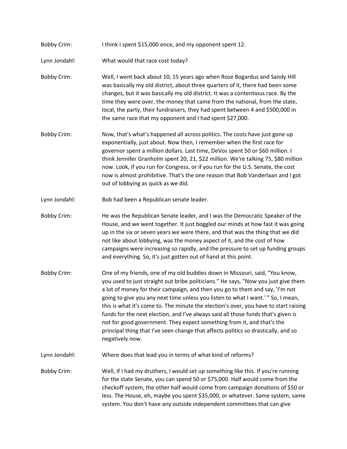Bobby Crim: I think I spent \$15,000 once, and my opponent spent 12.

Lynn Jondahl: What would that race cost today?

- Bobby Crim: Well, I went back about 10, 15 years ago when Rose Bogardus and Sandy Hill was basically my old district, about three quarters of it, there had been some changes, but it was basically my old district. It was a contentious race. By the time they were over, the money that came from the national, from the state, local, the party, their fundraisers, they had spent between 4 and \$500,000 in the same race that my opponent and I had spent \$27,000.
- Bobby Crim: Now, that's what's happened all across politics. The costs have just gone up exponentially, just about. Now then, I remember when the first race for governor spent a million dollars. Last time, DeVos spent 50 or \$60 million. I think Jennifer Granholm spent 20, 21, \$22 million. We're talking 75, \$80 million now. Look, if you run for Congress, or if you run for the U.S. Senate, the cost now is almost prohibitive. That's the one reason that Bob Vanderlaan and I got out of lobbying as quick as we did.
- Lynn Jondahl: Bob had been a Republican senate leader.
- Bobby Crim: He was the Republican Senate leader, and I was the Democratic Speaker of the House, and we went together. It just boggled our minds at how fast it was going up in the six or seven years we were there, and that was the thing that we did not like about lobbying, was the money aspect of it, and the cost of how campaigns were increasing so rapidly, and the pressure to set up funding groups and everything. So, it's just gotten out of hand at this point.
- Bobby Crim: One of my friends, one of my old buddies down in Missouri, said, "You know, you used to just straight out bribe politicians." He says, "Now you just give them a lot of money for their campaign, and then you go to them and say, 'I'm not going to give you any next time unless you listen to what I want.' " So, I mean, this is what it's come to. The minute the election's over, you have to start raising funds for the next election, and I've always said all those funds that's given is not for good government. They expect something from it, and that's the principal thing that I've seen change that affects politics so drastically, and so negatively now.

Lynn Jondahl: Where does that lead you in terms of what kind of reforms?

Bobby Crim: Well, if I had my druthers, I would set up something like this. If you're running for the state Senate, you can spend 50 or \$75,000. Half would come from the checkoff system, the other half would come from campaign donations of \$50 or less. The House, eh, maybe you spent \$35,000, or whatever. Same system, same system. You don't have any outside independent committees that can give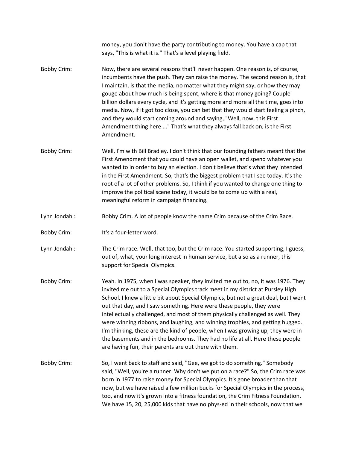|                    | money, you don't have the party contributing to money. You have a cap that<br>says, "This is what it is." That's a level playing field.                                                                                                                                                                                                                                                                                                                                                                                                                                                                                                                                                                                              |
|--------------------|--------------------------------------------------------------------------------------------------------------------------------------------------------------------------------------------------------------------------------------------------------------------------------------------------------------------------------------------------------------------------------------------------------------------------------------------------------------------------------------------------------------------------------------------------------------------------------------------------------------------------------------------------------------------------------------------------------------------------------------|
| <b>Bobby Crim:</b> | Now, there are several reasons that'll never happen. One reason is, of course,<br>incumbents have the push. They can raise the money. The second reason is, that<br>I maintain, is that the media, no matter what they might say, or how they may<br>gouge about how much is being spent, where is that money going? Couple<br>billion dollars every cycle, and it's getting more and more all the time, goes into<br>media. Now, if it got too close, you can bet that they would start feeling a pinch,<br>and they would start coming around and saying, "Well, now, this First<br>Amendment thing here " That's what they always fall back on, is the First<br>Amendment.                                                        |
| <b>Bobby Crim:</b> | Well, I'm with Bill Bradley. I don't think that our founding fathers meant that the<br>First Amendment that you could have an open wallet, and spend whatever you<br>wanted to in order to buy an election. I don't believe that's what they intended<br>in the First Amendment. So, that's the biggest problem that I see today. It's the<br>root of a lot of other problems. So, I think if you wanted to change one thing to<br>improve the political scene today, it would be to come up with a real,<br>meaningful reform in campaign financing.                                                                                                                                                                                |
| Lynn Jondahl:      | Bobby Crim. A lot of people know the name Crim because of the Crim Race.                                                                                                                                                                                                                                                                                                                                                                                                                                                                                                                                                                                                                                                             |
| <b>Bobby Crim:</b> | It's a four-letter word.                                                                                                                                                                                                                                                                                                                                                                                                                                                                                                                                                                                                                                                                                                             |
| Lynn Jondahl:      | The Crim race. Well, that too, but the Crim race. You started supporting, I guess,<br>out of, what, your long interest in human service, but also as a runner, this<br>support for Special Olympics.                                                                                                                                                                                                                                                                                                                                                                                                                                                                                                                                 |
| <b>Bobby Crim:</b> | Yeah. In 1975, when I was speaker, they invited me out to, no, it was 1976. They<br>invited me out to a Special Olympics track meet in my district at Pursley High<br>School. I knew a little bit about Special Olympics, but not a great deal, but I went<br>out that day, and I saw something. Here were these people, they were<br>intellectually challenged, and most of them physically challenged as well. They<br>were winning ribbons, and laughing, and winning trophies, and getting hugged.<br>I'm thinking, these are the kind of people, when I was growing up, they were in<br>the basements and in the bedrooms. They had no life at all. Here these people<br>are having fun, their parents are out there with them. |
| <b>Bobby Crim:</b> | So, I went back to staff and said, "Gee, we got to do something." Somebody<br>said, "Well, you're a runner. Why don't we put on a race?" So, the Crim race was<br>born in 1977 to raise money for Special Olympics. It's gone broader than that<br>now, but we have raised a few million bucks for Special Olympics in the process,<br>too, and now it's grown into a fitness foundation, the Crim Fitness Foundation.<br>We have 15, 20, 25,000 kids that have no phys-ed in their schools, now that we                                                                                                                                                                                                                             |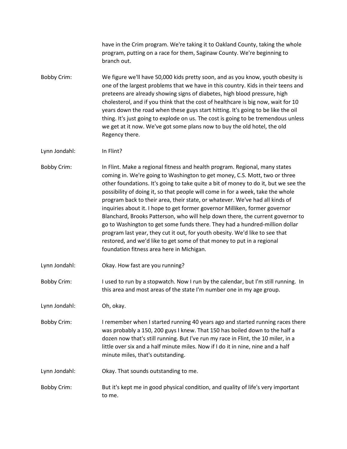have in the Crim program. We're taking it to Oakland County, taking the whole program, putting on a race for them, Saginaw County. We're beginning to branch out.

- Bobby Crim: We figure we'll have 50,000 kids pretty soon, and as you know, youth obesity is one of the largest problems that we have in this country. Kids in their teens and preteens are already showing signs of diabetes, high blood pressure, high cholesterol, and if you think that the cost of healthcare is big now, wait for 10 years down the road when these guys start hitting. It's going to be like the oil thing. It's just going to explode on us. The cost is going to be tremendous unless we get at it now. We've got some plans now to buy the old hotel, the old Regency there.
- Lynn Jondahl: In Flint?
- Bobby Crim: In Flint. Make a regional fitness and health program. Regional, many states coming in. We're going to Washington to get money, C.S. Mott, two or three other foundations. It's going to take quite a bit of money to do it, but we see the possibility of doing it, so that people will come in for a week, take the whole program back to their area, their state, or whatever. We've had all kinds of inquiries about it. I hope to get former governor Milliken, former governor Blanchard, Brooks Patterson, who will help down there, the current governor to go to Washington to get some funds there. They had a hundred-million dollar program last year, they cut it out, for youth obesity. We'd like to see that restored, and we'd like to get some of that money to put in a regional foundation fitness area here in Michigan.
- Lynn Jondahl: Okay. How fast are you running?
- Bobby Crim: I used to run by a stopwatch. Now I run by the calendar, but I'm still running. In this area and most areas of the state I'm number one in my age group.
- Lynn Jondahl: Oh, okay.
- Bobby Crim: I remember when I started running 40 years ago and started running races there was probably a 150, 200 guys I knew. That 150 has boiled down to the half a dozen now that's still running. But I've run my race in Flint, the 10 miler, in a little over six and a half minute miles. Now if I do it in nine, nine and a half minute miles, that's outstanding.
- Lynn Jondahl: Okay. That sounds outstanding to me.
- Bobby Crim: But it's kept me in good physical condition, and quality of life's very important to me.